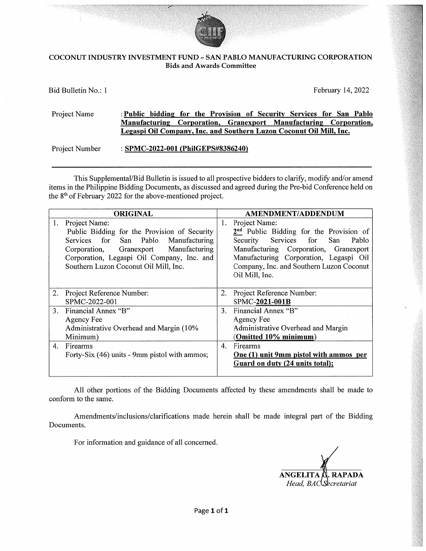

## COCONUT INDUSTRY INVESTMENT FUND - SAN PABLO MANUFACTURING CORPORATION **Bids and Awards Committee**

Bid Bulletin No.: 1

February 14, 2022

| Project Name   | : Public bidding for the Provision of Security Services for San Pablo |
|----------------|-----------------------------------------------------------------------|
|                | Manufacturing Corporation, Granexport Manufacturing Corporation,      |
|                | Legaspi Oil Company, Inc. and Southern Luzon Coconut Oil Mill, Inc.   |
| Project Number | : SPMC-2022-001 (PhilGEPS#8386240)                                    |

This Supplemental/Bid Bulletin is issued to all prospective bidders to clarify, modify and/or amend items in the Philippine Bidding Documents, as discussed and agreed during the Pre-bid Conference held on the  $8<sup>th</sup>$  of February 2022 for the above-mentioned project.

| <b>ORIGINAL</b>                                                                                                                                                   |                                                                                                                                                                                                                                          | <b>AMENDMENT/ADDENDUM</b> |                                                                                                                                                                                                                                                      |
|-------------------------------------------------------------------------------------------------------------------------------------------------------------------|------------------------------------------------------------------------------------------------------------------------------------------------------------------------------------------------------------------------------------------|---------------------------|------------------------------------------------------------------------------------------------------------------------------------------------------------------------------------------------------------------------------------------------------|
| 1.                                                                                                                                                                | Project Name:<br>Public Bidding for the Provision of Security<br>Services for San Pablo Manufacturing<br>Granexport Manufacturing<br>Corporation,<br>Corporation, Legaspi Oil Company, Inc. and<br>Southern Luzon Coconut Oil Mill, Inc. | 1.                        | Project Name:<br>$2nd$ Public Bidding for the Provision of<br>Security Services for<br>San<br>Pablo<br>Manufacturing Corporation, Granexport<br>Manufacturing Corporation, Legaspi Oil<br>Company, Inc. and Southern Luzon Coconut<br>Oil Mill, Inc. |
| 2.                                                                                                                                                                | Project Reference Number:<br>SPMC-2022-001                                                                                                                                                                                               | 2.                        | Project Reference Number:<br>SPMC-2021-001B                                                                                                                                                                                                          |
| Financial Annex "B"<br>3.<br>Agency Fee<br>Administrative Overhead and Margin (10%<br>Minimum)<br>Firearms<br>4.<br>Forty-Six (46) units - 9mm pistol with ammos; |                                                                                                                                                                                                                                          | 3.<br>4.                  | Financial Annex "B"<br>Agency Fee<br>Administrative Overhead and Margin<br>(Omitted 10% minimum)<br>Firearms<br>One (1) unit 9mm pistol with ammos per                                                                                               |
|                                                                                                                                                                   |                                                                                                                                                                                                                                          |                           | Guard on duty (24 units total);                                                                                                                                                                                                                      |

All other portions of the Bidding Documents affected by these amendments shall be made to conform to the same.

Amendments/inclusions/clarifications made herein shall be made integral part of the Bidding Documents.

For information and guidance of all concerned.

**ANGELITA** Ĝ. RAPADA Head, BACSecretariat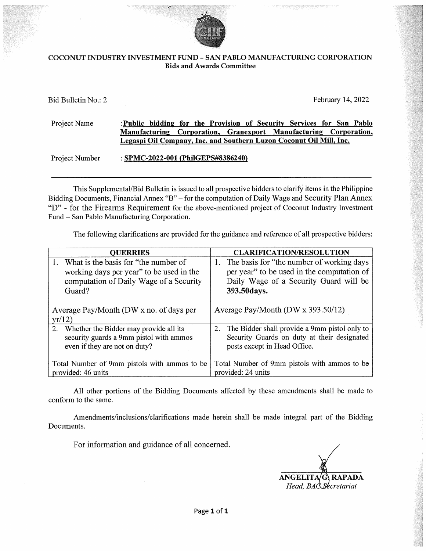

## COCONUT INDUSTRY INVESTMENT FUND - SAN PABLO MANUFACTURING CORPORATION **Bids and Awards Committee**

#### Bid Bulletin No.: 2

February 14, 2022

| Project Name | : Public bidding for the Provision of Security Services for San Pablo |
|--------------|-----------------------------------------------------------------------|
|              | Manufacturing Corporation, Granexport Manufacturing Corporation,      |
|              | Legaspi Oil Company, Inc. and Southern Luzon Coconut Oil Mill, Inc.   |
|              |                                                                       |

Project Number : SPMC-2022-001 (PhilGEPS#8386240)

This Supplemental/Bid Bulletin is issued to all prospective bidders to clarify items in the Philippine Bidding Documents, Financial Annex "B" - for the computation of Daily Wage and Security Plan Annex "D" - for the Firearms Requirement for the above-mentioned project of Coconut Industry Investment Fund - San Pablo Manufacturing Corporation.

The following clarifications are provided for the guidance and reference of all prospective bidders:

| <b>QUERRIES</b>                                                                                                                          | <b>CLARIFICATION/RESOLUTION</b>                                                                                                                    |  |
|------------------------------------------------------------------------------------------------------------------------------------------|----------------------------------------------------------------------------------------------------------------------------------------------------|--|
| 1. What is the basis for "the number of<br>working days per year" to be used in the<br>computation of Daily Wage of a Security<br>Guard? | The basis for "the number of working days"<br>per year" to be used in the computation of<br>Daily Wage of a Security Guard will be<br>393.50 days. |  |
| Average Pay/Month (DW x no. of days per<br>yr/12)                                                                                        | Average Pay/Month (DW x 393.50/12)                                                                                                                 |  |
| 2. Whether the Bidder may provide all its<br>security guards a 9mm pistol with ammos<br>even if they are not on duty?                    | The Bidder shall provide a 9mm pistol only to<br>2.<br>Security Guards on duty at their designated<br>posts except in Head Office.                 |  |
| Total Number of 9mm pistols with ammos to be<br>provided: 46 units                                                                       | Total Number of 9mm pistols with ammos to be<br>provided: 24 units                                                                                 |  |

All other portions of the Bidding Documents affected by these amendments shall be made to conform to the same.

Amendments/inclusions/clarifications made herein shall be made integral part of the Bidding Documents.

For information and guidance of all concerned.

**ANGELITA/G) RAPADA** Head, BACSecretariat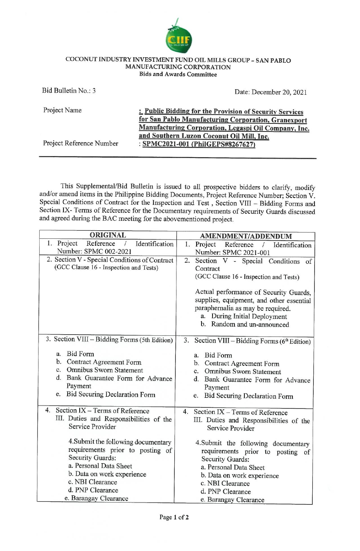

### COCONUT INDUSTRY INVESTMENT FUND OIL MILLS GROUP - SAN PABLO MANUFACTURING CORPORATION **Bids and Awards Committee**

Bid Bulletin No.: 3

Project Reference Number

Date: December 20, 2021

Project Name

: Public Bidding for the Provision of Security Services for San Pablo Manufacturing Corporation, Granexport Manufacturing Corporation, Legaspi Oil Company, Inc. and Southern Luzon Coconut Oil Mill, Inc. : SPMC2021-001 (PhilGEPS#8267627)

This Supplemental/Bid Bulletin is issued to all prospective bidders to clarify, modify and/or amend items in the Philippine Bidding Documents, Project Reference Number; Section V. Special Conditions of Contract for the Inspection and Test, Section VIII - Bidding Forms and Section IX- Terms of Reference for the Documentary requirements of Security Guards discussed and agreed during the BAC meeting for the abovementioned project.

| <b>ORIGINAL</b>                                                                                                                                                                                                                                                                                                              | <b>AMENDMENT/ADDENDUM</b>                                                                                                                                                                                                                                                                                                           |  |
|------------------------------------------------------------------------------------------------------------------------------------------------------------------------------------------------------------------------------------------------------------------------------------------------------------------------------|-------------------------------------------------------------------------------------------------------------------------------------------------------------------------------------------------------------------------------------------------------------------------------------------------------------------------------------|--|
| Reference<br>1. Project<br>Identification<br>$\sqrt{ }$<br>Number: SPMC 002-2021                                                                                                                                                                                                                                             | 1. Project<br>Reference<br>Identification<br>Number: SPMC 2021-001                                                                                                                                                                                                                                                                  |  |
| 2. Section V - Special Conditions of Contract<br>(GCC Clause 16 - Inspection and Tests)                                                                                                                                                                                                                                      | 2.<br>Section V - Special Conditions of<br>Contract<br>(GCC Clause 16 - Inspection and Tests)<br>Actual performance of Security Guards,<br>supplies, equipment, and other essential<br>paraphernalia as may be required.<br>a. During Initial Deployment<br>b. Random and un-announced                                              |  |
| 3. Section VIII - Bidding Forms (5th Edition)<br>a. Bid Form<br>b. Contract Agreement Form<br>c. Omnibus Sworn Statement<br>d. Bank Guarantee Form for Advance<br>Payment<br>e. Bid Securing Declaration Form                                                                                                                | 3. Section VIII – Bidding Forms ( $6th$ Edition)<br><b>Bid Form</b><br>a.<br>b. Contract Agreement Form<br>Omnibus Sworn Statement<br>$\mathbf{c}$ .<br>d. Bank Guarantee Form for Advance<br>Payment<br>e. Bid Securing Declaration Form                                                                                           |  |
| Section IX - Terms of Reference<br>4.<br>III. Duties and Responsibilities of the<br>Service Provider<br>4. Submit the following documentary<br>requirements prior to posting of<br>Security Guards:<br>a. Personal Data Sheet<br>b. Data on work experience<br>c. NBI Clearance<br>d. PNP Clearance<br>e. Barangay Clearance | Section IX - Terms of Reference<br>4.<br>III. Duties and Responsibilities of the<br>Service Provider<br>4. Submit the following documentary<br>requirements prior to posting of<br><b>Security Guards:</b><br>a. Personal Data Sheet<br>b. Data on work experience<br>c. NBI Clearance<br>d. PNP Clearance<br>e. Barangay Clearance |  |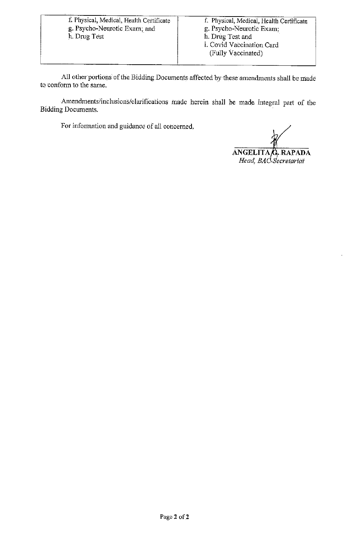All other portions of the Bidding Documents affected by these amendments shall be made to conform to the same.

Amendments/inclusions/clarifications made herein shall be made integral part of the **Bidding Documents.** 

For information and guidance of all concerned,

**ANGELITA RAPADA** Head, BAC Secretariat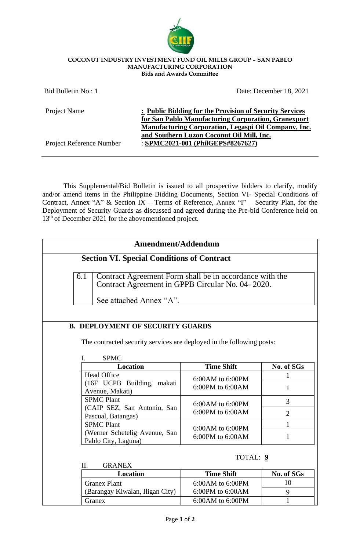

#### **COCONUT INDUSTRY INVESTMENT FUND OIL MILLS GROUP – SAN PABLO MANUFACTURING CORPORATION Bids and Awards Committee**

Project Reference Number

Bid Bulletin No.: 1 **Date: December 18, 2021** 

Project Name

**: Public Bidding for the Provision of Security Services for San Pablo Manufacturing Corporation, Granexport Manufacturing Corporation, Legaspi Oil Company, Inc. and Southern Luzon Coconut Oil Mill, Inc.** : **SPMC2021-001 (PhilGEPS#8267627)**

This Supplemental/Bid Bulletin is issued to all prospective bidders to clarify, modify and/or amend items in the Philippine Bidding Documents, Section VI- Special Conditions of Contract, Annex "A" & Section IX – Terms of Reference, Annex "I" – Security Plan, for the Deployment of Security Guards as discussed and agreed during the Pre-bid Conference held on 13<sup>th</sup> of December 2021 for the abovementioned project.

| <b>Amendment/Addendum</b>                                                                                                                     |                                                   |                   |  |  |
|-----------------------------------------------------------------------------------------------------------------------------------------------|---------------------------------------------------|-------------------|--|--|
|                                                                                                                                               | <b>Section VI. Special Conditions of Contract</b> |                   |  |  |
| Contract Agreement Form shall be in accordance with the<br>6.1<br>Contract Agreement in GPPB Circular No. 04-2020.<br>See attached Annex "A". |                                                   |                   |  |  |
| <b>B. DEPLOYMENT OF SECURITY GUARDS</b>                                                                                                       |                                                   |                   |  |  |
| The contracted security services are deployed in the following posts:                                                                         |                                                   |                   |  |  |
| <b>SPMC</b><br>I.                                                                                                                             |                                                   |                   |  |  |
| <b>Location</b>                                                                                                                               | <b>Time Shift</b>                                 | No. of SGs        |  |  |
| <b>Head Office</b><br>(16F UCPB Building, makati<br>Avenue, Makati)                                                                           | 6:00AM to 6:00PM<br>6:00PM to 6:00AM              | 1<br>$\mathbf{1}$ |  |  |
| <b>SPMC Plant</b><br>(CAIP SEZ, San Antonio, San                                                                                              | $6:00AM$ to $6:00PM$                              | 3                 |  |  |
| Pascual, Batangas)                                                                                                                            | $6:00PM$ to $6:00AM$                              | $\overline{2}$    |  |  |
| <b>SPMC Plant</b><br>(Werner Schetelig Avenue, San<br>Pablo City, Laguna)                                                                     | 6:00AM to 6:00PM<br>6:00PM to 6:00AM              | 1<br>$\mathbf{1}$ |  |  |
| TOTAL: 9<br>II.<br><b>GRANEX</b>                                                                                                              |                                                   |                   |  |  |
| <b>Time Shift</b><br>No. of SGs<br>Location                                                                                                   |                                                   |                   |  |  |
| <b>Granex Plant</b>                                                                                                                           | 6:00AM to 6:00PM                                  | 10                |  |  |
| (Barangay Kiwalan, Iligan City)                                                                                                               | 6:00PM to 6:00AM                                  | 9                 |  |  |
| Granex                                                                                                                                        | 6:00AM to 6:00PM                                  | $\mathbf{1}$      |  |  |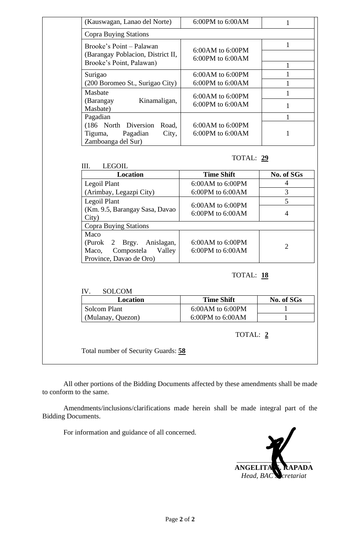| (Kauswagan, Lanao del Norte)                                                                        | 6:00PM to 6:00AM                         | $\mathbf{1}$                 |
|-----------------------------------------------------------------------------------------------------|------------------------------------------|------------------------------|
| <b>Copra Buying Stations</b>                                                                        |                                          |                              |
| Brooke's Point – Palawan<br>(Barangay Poblacion, District II,                                       | $6:00AM$ to $6:00PM$<br>6:00PM to 6:00AM | $\mathbf{1}$                 |
| Brooke's Point, Palawan)                                                                            |                                          | $\mathbf{1}$                 |
| Surigao<br>(200 Boromeo St., Surigao City)                                                          | 6:00AM to 6:00PM<br>6:00PM to 6:00AM     | $\mathbf{1}$<br>$\mathbf{1}$ |
| Masbate                                                                                             |                                          | $\mathbf{1}$                 |
| Kinamaligan,<br>(Barangay<br>Masbate)                                                               | 6:00AM to 6:00PM<br>6:00PM to 6:00AM     | $\mathbf{1}$                 |
| Pagadian                                                                                            |                                          | 1                            |
| (186 North Diversion<br>Road,<br>Tiguma,<br>Pagadian<br>City,<br>Zamboanga del Sur)                 | $6:00AM$ to $6:00PM$<br>6:00PM to 6:00AM | $\mathbf{1}$                 |
| <b>LEGOIL</b><br>Ш.                                                                                 | TOTAL: 29                                |                              |
| <b>Location</b>                                                                                     | <b>Time Shift</b>                        | No. of SGs                   |
| Legoil Plant                                                                                        | 6:00AM to 6:00PM                         | $\overline{4}$               |
| (Arimbay, Legazpi City)                                                                             | $6:00PM$ to $6:00AM$                     | 3                            |
| Legoil Plant                                                                                        | 6:00AM to 6:00PM                         | 5                            |
| (Km. 9.5, Barangay Sasa, Davao<br>City)                                                             | 6:00PM to 6:00AM                         | $\overline{4}$               |
| <b>Copra Buying Stations</b>                                                                        |                                          |                              |
| Maco<br>(Purok<br>2 Brgy.<br>Anislagan,<br>Maco,<br>Compostela<br>Valley<br>Province, Davao de Oro) | $6:00AM$ to $6:00PM$<br>6:00PM to 6:00AM | $\overline{2}$               |
|                                                                                                     | TOTAL: 18                                |                              |
| IV.<br><b>SOLCOM</b>                                                                                |                                          |                              |
| <b>Location</b>                                                                                     | <b>Time Shift</b>                        | No. of SGs                   |
| <b>Solcom Plant</b>                                                                                 | 6:00AM to 6:00PM                         | 1                            |
| (Mulanay, Quezon)                                                                                   | 6:00PM to 6:00AM                         | 1                            |
|                                                                                                     | TOTAL: 2                                 |                              |

All other portions of the Bidding Documents affected by these amendments shall be made to conform to the same.

Amendments/inclusions/clarifications made herein shall be made integral part of the Bidding Documents.

For information and guidance of all concerned.

 $\mathsf{I}$ 

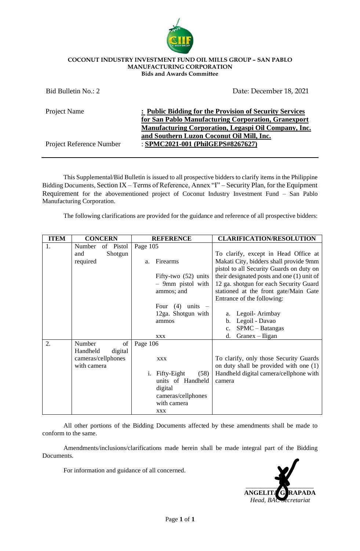

#### **COCONUT INDUSTRY INVESTMENT FUND OIL MILLS GROUP – SAN PABLO MANUFACTURING CORPORATION Bids and Awards Committee**

Bid Bulletin No.: 2 **Date: December 18, 2021** 

| Project Name             | : Public Bidding for the Provision of Security Services |  |  |
|--------------------------|---------------------------------------------------------|--|--|
|                          | for San Pablo Manufacturing Corporation, Granexport     |  |  |
|                          | Manufacturing Corporation, Legaspi Oil Company, Inc.    |  |  |
|                          | and Southern Luzon Coconut Oil Mill, Inc.               |  |  |
| Project Reference Number | : SPMC2021-001 (PhilGEPS#8267627)                       |  |  |

This Supplemental/Bid Bulletin is issued to all prospective bidders to clarify items in the Philippine Bidding Documents, Section IX – Terms of Reference, Annex "I" – Security Plan, for the Equipment Requirement for the abovementioned project of Coconut Industry Investment Fund – San Pablo Manufacturing Corporation.

The following clarifications are provided for the guidance and reference of all prospective bidders:

| <b>ITEM</b> | <b>CONCERN</b>      | <b>REFERENCE</b>          | <b>CLARIFICATION/RESOLUTION</b>            |
|-------------|---------------------|---------------------------|--------------------------------------------|
| 1.          | of Pistol<br>Number | Page 105                  |                                            |
|             | Shotgun<br>and      |                           | To clarify, except in Head Office at       |
|             | required            | Firearms<br>a.            | Makati City, bidders shall provide 9mm     |
|             |                     |                           | pistol to all Security Guards on duty on   |
|             |                     | Fifty-two $(52)$ units    | their designated posts and one (1) unit of |
|             |                     | - 9mm pistol with         | 12 ga. shotgun for each Security Guard     |
|             |                     | ammos; and                | stationed at the front gate/Main Gate      |
|             |                     |                           | Entrance of the following:                 |
|             |                     | $(4)$ units<br>Four       |                                            |
|             |                     | 12ga. Shotgun with        | Legoil-Arimbay<br>a.                       |
|             |                     | ammos                     | Legoil - Davao<br>b.                       |
|             |                     |                           | SPMC - Batangas<br>$\mathbf{c}$ .          |
|             |                     | <b>XXX</b>                | $Granex - Iligan$<br>d.                    |
| 2.          | of<br>Number        | Page 106                  |                                            |
|             | digital<br>Handheld |                           |                                            |
|             | cameras/cellphones  | <b>XXX</b>                | To clarify, only those Security Guards     |
|             | with camera         |                           | on duty shall be provided with one (1)     |
|             |                     | Fifty-Eight<br>(58)<br>i. | Handheld digital camera/cellphone with     |
|             |                     | units of Handheld         | camera                                     |
|             |                     | digital                   |                                            |
|             |                     | cameras/cellphones        |                                            |
|             |                     | with camera               |                                            |
|             |                     | <b>XXX</b>                |                                            |

All other portions of the Bidding Documents affected by these amendments shall be made to conform to the same.

Amendments/inclusions/clarifications made herein shall be made integral part of the Bidding Documents.

For information and guidance of all concerned.